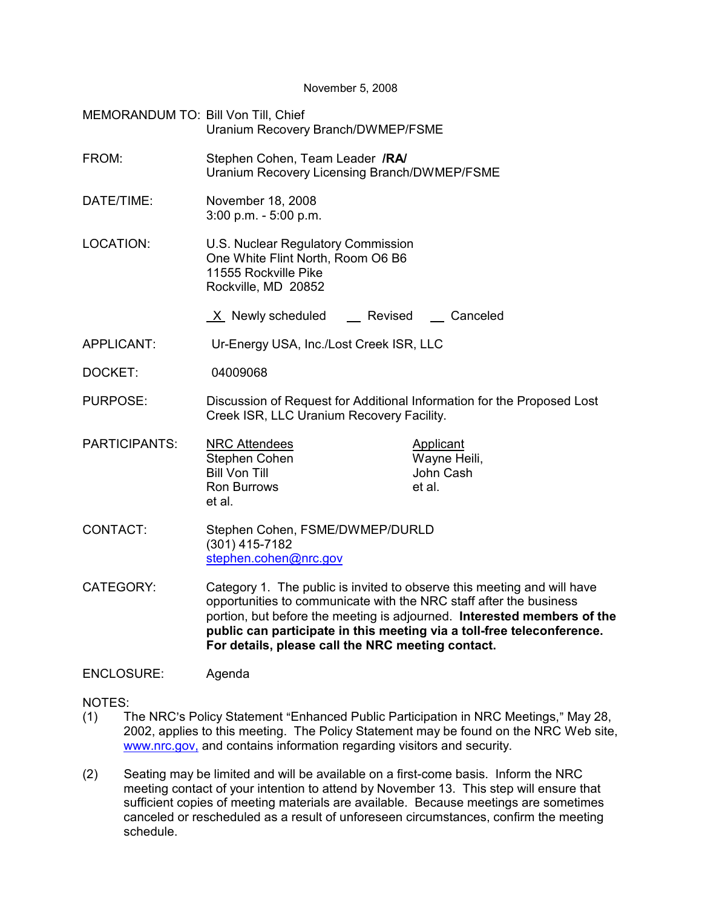November 5, 2008

| MEMORANDUM TO: Bill Von Till, Chief | Uranium Recovery Branch/DWMEP/FSME                                                                                                                                                                                                                                                                                                                      |                                                  |  |  |  |
|-------------------------------------|---------------------------------------------------------------------------------------------------------------------------------------------------------------------------------------------------------------------------------------------------------------------------------------------------------------------------------------------------------|--------------------------------------------------|--|--|--|
| FROM:                               | Stephen Cohen, Team Leader /RA/<br>Uranium Recovery Licensing Branch/DWMEP/FSME                                                                                                                                                                                                                                                                         |                                                  |  |  |  |
| DATE/TIME:                          | November 18, 2008<br>$3:00$ p.m. $-5:00$ p.m.                                                                                                                                                                                                                                                                                                           |                                                  |  |  |  |
| LOCATION:                           | U.S. Nuclear Regulatory Commission<br>One White Flint North, Room O6 B6<br>11555 Rockville Pike<br>Rockville, MD 20852                                                                                                                                                                                                                                  |                                                  |  |  |  |
|                                     | X Newly scheduled<br>Revised                                                                                                                                                                                                                                                                                                                            | __ Canceled                                      |  |  |  |
| APPLICANT:                          | Ur-Energy USA, Inc./Lost Creek ISR, LLC                                                                                                                                                                                                                                                                                                                 |                                                  |  |  |  |
| DOCKET:                             | 04009068                                                                                                                                                                                                                                                                                                                                                |                                                  |  |  |  |
| <b>PURPOSE:</b>                     | Discussion of Request for Additional Information for the Proposed Lost<br>Creek ISR, LLC Uranium Recovery Facility.                                                                                                                                                                                                                                     |                                                  |  |  |  |
| <b>PARTICIPANTS:</b>                | <b>NRC Attendees</b><br>Stephen Cohen<br><b>Bill Von Till</b><br><b>Ron Burrows</b><br>et al.                                                                                                                                                                                                                                                           | Applicant<br>Wayne Heili,<br>John Cash<br>et al. |  |  |  |
| CONTACT:                            | Stephen Cohen, FSME/DWMEP/DURLD<br>$(301)$ 415-7182<br>stephen.cohen@nrc.gov                                                                                                                                                                                                                                                                            |                                                  |  |  |  |
| CATEGORY:                           | Category 1. The public is invited to observe this meeting and will have<br>opportunities to communicate with the NRC staff after the business<br>portion, but before the meeting is adjourned. Interested members of the<br>public can participate in this meeting via a toll-free teleconference.<br>For details, please call the NRC meeting contact. |                                                  |  |  |  |

## ENCLOSURE: Agenda

NOTES:

- (1) The NRC's Policy Statement "Enhanced Public Participation in NRC Meetings," May 28, 2002, applies to this meeting. The Policy Statement may be found on the NRC Web site, www.nrc.gov, and contains information regarding visitors and security.
- (2) Seating may be limited and will be available on a first-come basis. Inform the NRC meeting contact of your intention to attend by November 13. This step will ensure that sufficient copies of meeting materials are available. Because meetings are sometimes canceled or rescheduled as a result of unforeseen circumstances, confirm the meeting schedule.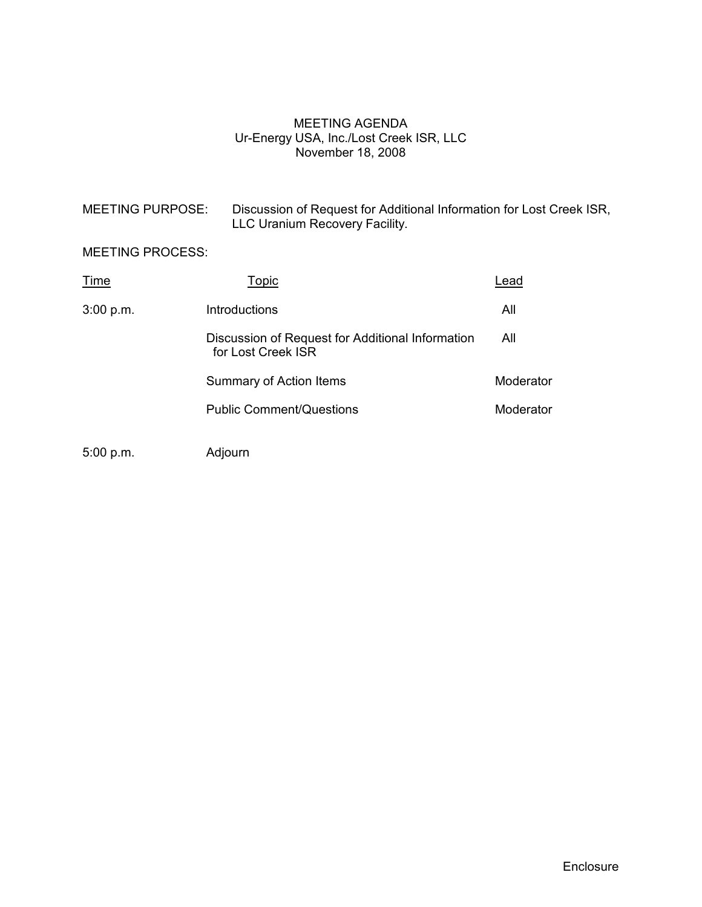## MEETING AGENDA Ur-Energy USA, Inc./Lost Creek ISR, LLC November 18, 2008

| <b>MEETING PURPOSE:</b>                                                | Discussion of Request for Additional Information for Lost Creek ISR,<br>LLC Uranium Recovery Facility. |           |  |  |
|------------------------------------------------------------------------|--------------------------------------------------------------------------------------------------------|-----------|--|--|
| <b>MEETING PROCESS:</b>                                                |                                                                                                        |           |  |  |
| Time                                                                   | Topic                                                                                                  | Lead      |  |  |
| 3:00 p.m.                                                              | Introductions                                                                                          | All       |  |  |
| Discussion of Request for Additional Information<br>for Lost Creek ISR |                                                                                                        | All       |  |  |
|                                                                        | Summary of Action Items                                                                                | Moderator |  |  |
|                                                                        | <b>Public Comment/Questions</b>                                                                        | Moderator |  |  |
| 5:00 p.m.                                                              | Adjourn                                                                                                |           |  |  |